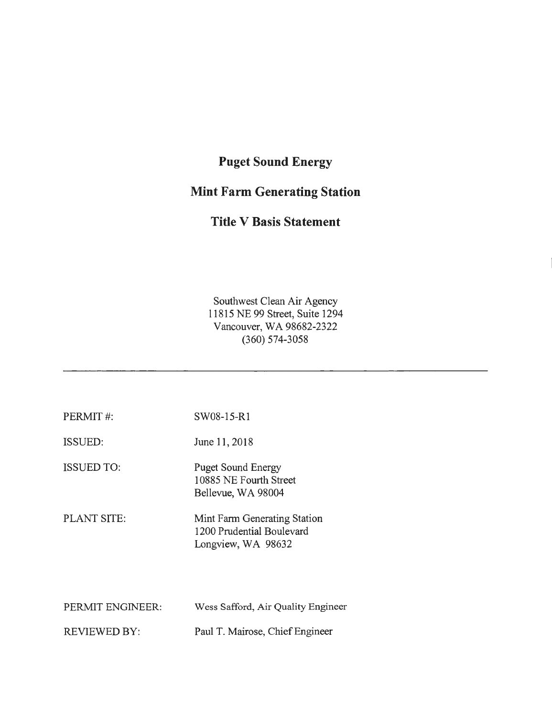# **Puget Sound Energy**

# **Mint Farm Generating Station**

# **Title V Basis Statement**

Southwest Clean Air Agency 11815 NE 99 Street, Suite 1294 Vancouver, WA 98682-2322 (360) 574-3058

| PERMIT#:            | SW08-15-R1                                                                      |
|---------------------|---------------------------------------------------------------------------------|
| <b>ISSUED:</b>      | June 11, 2018                                                                   |
| <b>ISSUED TO:</b>   | <b>Puget Sound Energy</b><br>10885 NE Fourth Street<br>Bellevue, WA 98004       |
| <b>PLANT SITE:</b>  | Mint Farm Generating Station<br>1200 Prudential Boulevard<br>Longview, WA 98632 |
| PERMIT ENGINEER:    | Wess Safford, Air Quality Engineer                                              |
| <b>REVIEWED BY:</b> | Paul T. Mairose, Chief Engineer                                                 |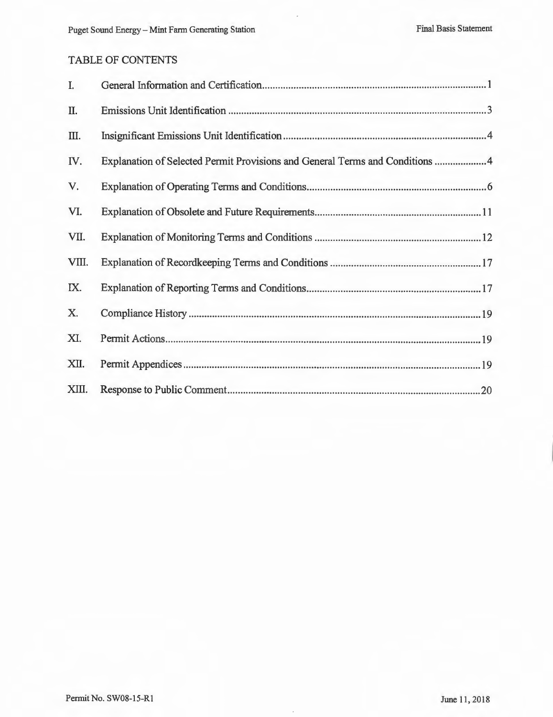# TABLE OF CONTENTS

| I.    |                                                                              |
|-------|------------------------------------------------------------------------------|
| II.   |                                                                              |
| Ш.    |                                                                              |
| IV.   | Explanation of Selected Permit Provisions and General Terms and Conditions 4 |
| V.    |                                                                              |
| VI.   |                                                                              |
| VII.  |                                                                              |
| VIII. |                                                                              |
| IX.   |                                                                              |
| Х.    |                                                                              |
| XI.   |                                                                              |
| XII.  |                                                                              |
| XIII. |                                                                              |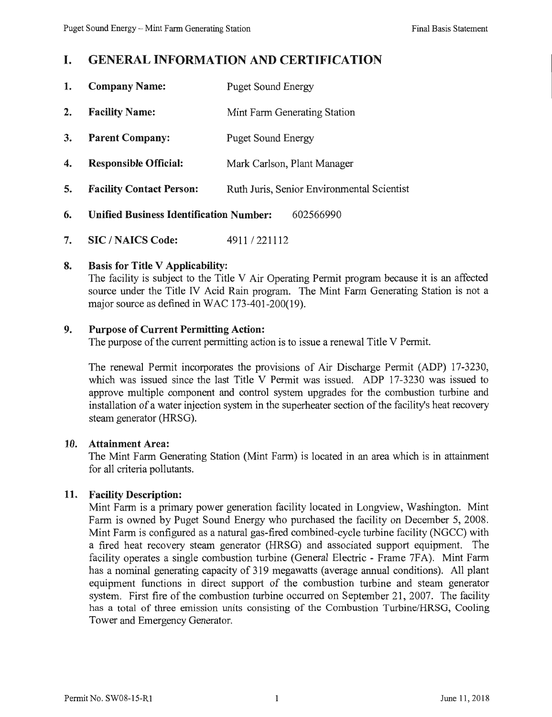# **I. GENERAL INFORMATION AND CERTIFICATION**

- 1. **Company Name:** Puget Sound Energy **2.** Facility Name: Mint Farm Generating Station **3. Parent Company:** Puget Sound Energy **4. Responsible Official:** Mark Carlson, Plant Manager **5. Facility Contact Person:** Ruth Juris, Senior Environmental Scientist **6. Unified Business Identification Number:** 602566990
- **7. SIC**/**NAICS** Code: 4911/221112

### **8. Basis for Title V Applicability:**

The facility is subject to the Title V Air Operating Permit program because it is an affected source under the Title IV Acid Rain program. The Mint Farm Generating Station is not a major source as defined in WAC 173-401-200(19).

#### **9. Purpose of Current Permitting Action:**

The purpose of the current permitting action is to issue a renewal Title V Permit.

The renewal Pennit incorporates the provisions of Air Discharge Permit (ADP) 17-3230, which was issued since the last Title V Permit was issued. ADP 17-3230 was issued to approve multiple component and control system upgrades for the combustion turbine and installation of a water injection system in the superheater section of the facility's heat recovery steam generator (HRSG).

#### **10. Attainment Area:**

The Mint Farm Generating Station (Mint Farm) is located in an area which is in attainment for all criteria pollutants.

#### **11. Facility Description:**

Mint Farm is a primary power generation facility located in Longview, Washington. Mint Fann is owned by Puget Sound Energy who purchased the facility on December 5, 2008. Mint Farm is configured as a natural gas-fired combined-cycle turbine facility (NGCC) with a fired heat recovery steam generator (HRSG) and associated support equipment. The facility operates a single combustion turbine (General Electric - Frame 7FA). Mint Farm has a nominal generating capacity of 319 megawatts (average annual conditions). All plant equipment functions in direct support of the combustion turbine and steam generator system. First fire of the combustion turbine occurred on September 21, 2007. The facility has a total of three emission units consisting of the Combustion Turbine/HRSG, Cooling Tower and Emergency Generator.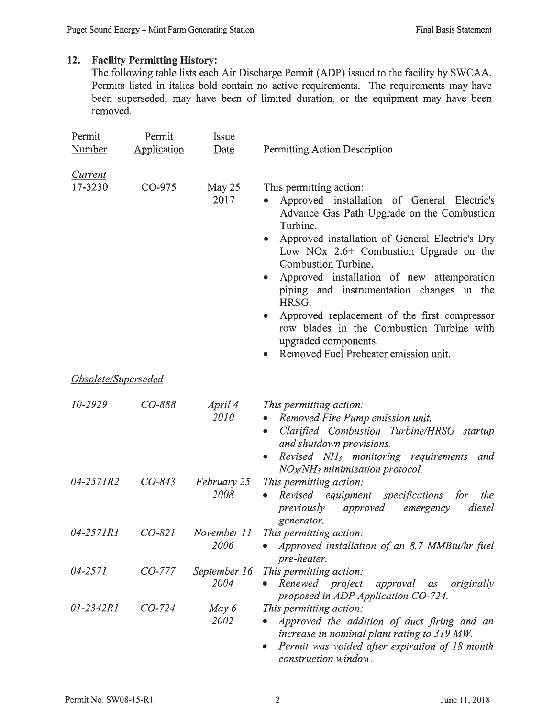# **12. Facility Permitting History:**

The following table lists each Air Discharge Permit (ADP) issued to the facility by SWCAA. Permits listed in italics bold contain no active requirements. The requirements may have been superseded, may have been of limited duration, or the equipment may have been removed.

| Permit<br>Number          | Permit<br>Application | Issue<br>Date        | <b>Permitting Action Description</b>                                                                                                                                                                                                                                                                                                                                                                                                                                                                                                          |
|---------------------------|-----------------------|----------------------|-----------------------------------------------------------------------------------------------------------------------------------------------------------------------------------------------------------------------------------------------------------------------------------------------------------------------------------------------------------------------------------------------------------------------------------------------------------------------------------------------------------------------------------------------|
| <b>Current</b><br>17-3230 | CO-975                | May 25<br>2017       | This permitting action:<br>Approved installation of General Electric's<br>$\bullet$<br>Advance Gas Path Upgrade on the Combustion<br>Turbine.<br>Approved installation of General Electric's Dry<br>۰<br>Low NOx 2.6+ Combustion Upgrade on the<br>Combustion Turbine.<br>Approved installation of new attemporation<br>piping and instrumentation changes in the<br>HRSG.<br>Approved replacement of the first compressor<br>۰<br>row blades in the Combustion Turbine with<br>upgraded components.<br>Removed Fuel Preheater emission unit. |
| Obsolete/Superseded       |                       |                      |                                                                                                                                                                                                                                                                                                                                                                                                                                                                                                                                               |
| 10-2929                   | CO-888                | April 4<br>2010      | This permitting action:<br>Removed Fire Pump emission unit.<br>Clarified Combustion Turbine/HRSG startup<br>۰<br>and shutdown provisions.<br>Revised NH <sub>3</sub> monitoring requirements<br>and<br>۰<br>$NO_X/NH_3$ minimization protocol.                                                                                                                                                                                                                                                                                                |
| 04-2571R2                 | $CO-843$              | February 25<br>2008  | This permitting action:<br>specifications<br>Revised<br>equipment<br>for<br>the<br>۰<br>diesel<br>previously<br>approved<br>emergency<br>generator.                                                                                                                                                                                                                                                                                                                                                                                           |
| 04-2571R1                 | $CO-821$              | November 11<br>2006  | This permitting action:<br>Approved installation of an 8.7 MMBtu/hr fuel<br>pre-heater.                                                                                                                                                                                                                                                                                                                                                                                                                                                       |
| $04 - 2571$               | $CO-777$              | September 16<br>2004 | This permitting action:<br>Renewed project<br>approval<br>originally<br>as<br>proposed in ADP Application CO-724.                                                                                                                                                                                                                                                                                                                                                                                                                             |
| 01-2342R1                 | $CO-724$              | May 6<br>2002        | This permitting action:<br>Approved the addition of duct firing and an<br>increase in nominal plant rating to 319 MW.<br>Permit was voided after expiration of 18 month<br>construction window.                                                                                                                                                                                                                                                                                                                                               |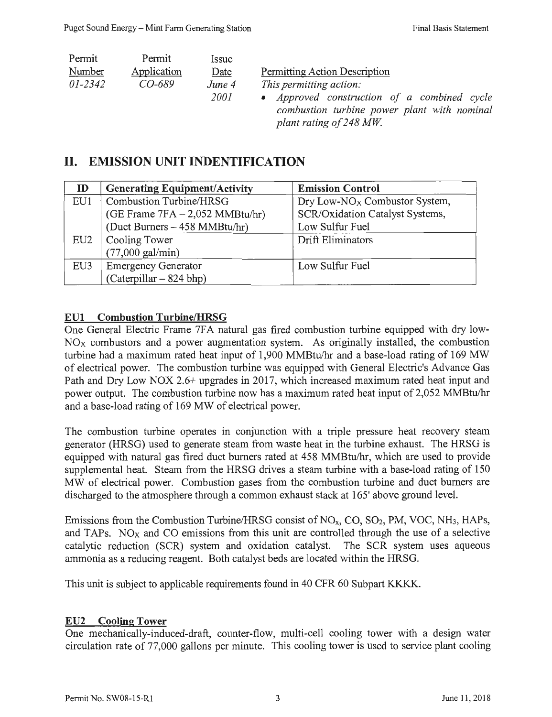| Permit      | Permit      | Issue  |
|-------------|-------------|--------|
| Number      | Application | Date   |
| $01 - 2342$ | CO-689      | June 4 |
|             |             | 2001   |

Permitting Action Description *This permitting action:* 

• *Approved construction of a combined cycle combustion turbine power plant with nominal plant rating of 248 MW* 

# **II. EMISSION UNIT INDENTIFICATION**

| ID              | <b>Generating Equipment/Activity</b> | <b>Emission Control</b>         |
|-----------------|--------------------------------------|---------------------------------|
| EU1             | Combustion Turbine/HRSG              | $Dry Low-NOX Combustor System,$ |
|                 | (GE Frame $7FA - 2,052$ MMBtu/hr)    | SCR/Oxidation Catalyst Systems, |
|                 | (Duct Burners - 458 MMBtu/hr)        | Low Sulfur Fuel                 |
| EU <sub>2</sub> | Cooling Tower                        | Drift Eliminators               |
|                 | $(77,000 \text{ gal/min})$           |                                 |
| EU <sub>3</sub> | <b>Emergency Generator</b>           | Low Sulfur Fuel                 |
|                 | $(Caterpillar - 824 bhp)$            |                                 |

### **EUl Combustion Turbine/HRSG**

One General Electric Frame 7FA natural gas fired combustion turbine equipped with dry low- $NO<sub>X</sub>$  combustors and a power augmentation system. As originally installed, the combustion turbine had a maximum rated heat input of 1,900 MMBtu/hr and a base-load rating of 169 MW of electrical power. The combustion turbine was equipped with General Electric's Advance Gas Path and Dry Low NOX 2.6+ upgrades in 2017, which increased maximum rated heat input and power output. The combustion turbine now has a maximum rated heat input of 2,052 MMBtu/hr and a base-load rating of 169 MW of electrical power.

The combustion turbine operates in conjunction with a triple pressure heat recovery steam generator (HRSG) used to generate steam from waste heat in the turbine exhaust. The HRSG is equipped with natural gas fired duct burners rated at 458 MMBtu/hr, which are used to provide supplemental heat. Steam from the HRSG drives a steam turbine with a base-load rating of 150 MW of electrical power. Combustion gases from the combustion turbine and duct burners are discharged to the atmosphere through a common exhaust stack at 165' above ground level.

Emissions from the Combustion Turbine/HRSG consist of NO<sub>x</sub>, CO, SO<sub>2</sub>, PM, VOC, NH<sub>3</sub>, HAPs, and TAPs. NO<sub>x</sub> and CO emissions from this unit are controlled through the use of a selective catalytic reduction (SCR) system and oxidation catalyst. The SCR system uses aqueous ammonia as a reducing reagent. Both catalyst beds are located within the HRSG.

This unit is subject to applicable requirements found in 40 CFR 60 Subpart KKKK.

### **EU2 Cooling Tower**

One mechanically-induced-draft, counter-flow, multi-cell cooling tower with a design water circulation rate of 77 ,000 gallons per minute. This cooling tower is used to service plant cooling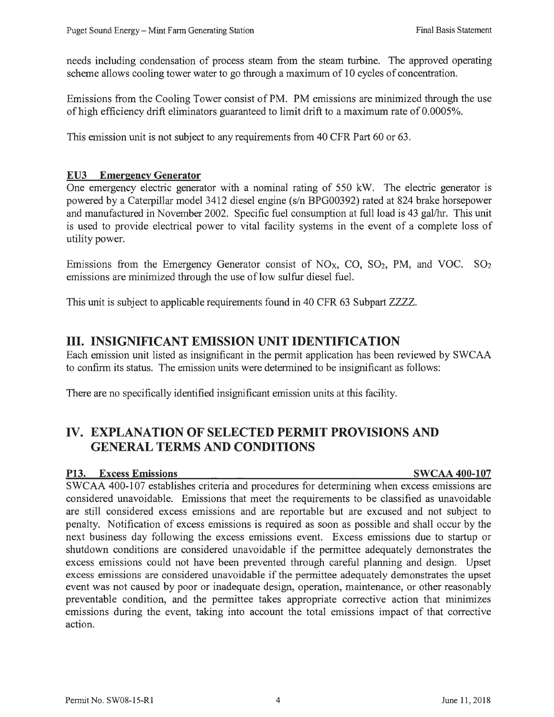needs including condensation of process steam from the steam turbine. The approved operating scheme allows cooling tower water to go through a maximum of 10 cycles of concentration.

Emissions from the Cooling Tower consist of PM. PM emissions are minimized through the use of high efficiency drift eliminators guaranteed to limit drift to a maximum rate of 0.0005%.

This emission unit is not subject to any requirements from 40 CFR Part 60 or 63.

### EU3 Emergency Generator

One emergency electric generator with a nominal rating of 550 kW. The electric generator is powered by a Caterpillar model 3412 diesel engine (s/n BPG00392) rated at 824 brake horsepower and manufactured in November 2002. Specific fuel consumption at full load is 43 gal/hr. This unit is used to provide electrical power to vital facility systems in the event of a complete loss of utility power.

Emissions from the Emergency Generator consist of  $NO<sub>X</sub>$ , CO, SO<sub>2</sub>, PM, and VOC. SO<sub>2</sub> emissions are minimized through the use of low sulfur diesel fuel.

This unit is subject to applicable requirements found in 40 CFR 63 Subpart ZZZZ.

# III. INSIGNIFICANT EMISSION UNIT IDENTIFICATION

Each emission unit listed as insignificant in the pennit application has been reviewed by SWCAA to confinn its status. The emission units were determined to be insignificant as follows:

There are no specifically identified insignificant emission units at this facility.

# IV. EXPLANATION OF SELECTED PERMIT PROVISIONS AND GENERAL TERMS AND CONDITIONS

#### P13. Excess Emissions SWCAA 400-107

SWCAA 400-107 establishes criteria and procedures for determining when excess emissions are considered unavoidable. Emissions that meet the requirements to be classified as unavoidable are still considered excess emissions and are reportable but are excused and not subject to penalty. Notification of excess emissions is required as soon as possible and shall occur by the next business day following the excess emissions event. Excess emissions due to startup or shutdown conditions are considered unavoidable if the permittee adequately demonstrates the excess emissions could not have been prevented through careful planning and design. Upset excess emissions are considered unavoidable if the permittee adequately demonstrates the upset event was not caused by poor or inadequate design, operation, maintenance, or other reasonably preventable condition, and the permittee takes appropriate corrective action that minimizes emissions during the event, taking into account the total emissions impact of that corrective action.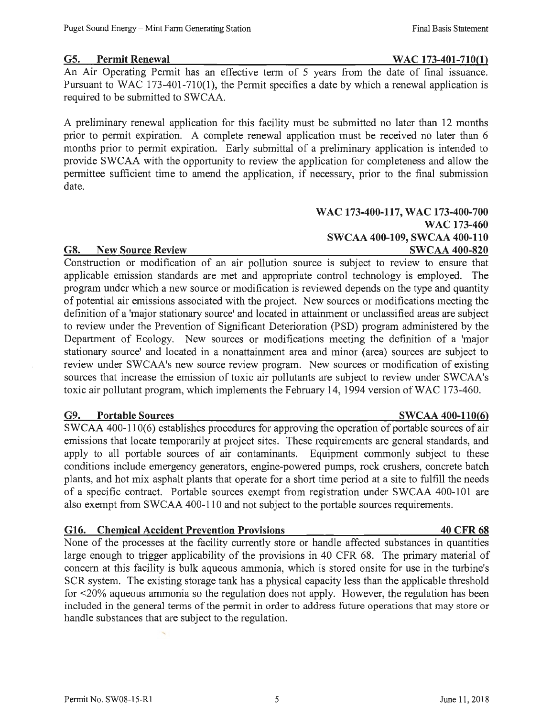#### **GS. Permit Renewal WAC 173-401-710(1)**

An Air Operating Permit has an effective term of 5 years from the date of final issuance. Pursuant to WAC 173-401-710(1), the Permit specifies a date by which a renewal application is required to be submitted to SWCAA.

A preliminary renewal application for this facility must be submitted no later than 12 months prior to pennit expiration. A complete renewal application must be received no later than 6 months prior to pennit expiration. Early submittal of a preliminary application is intended to provide SWCAA with the opportunity to review the application for completeness and allow the pennittee sufficient time to amend the application, if necessary, prior to the final submission date.

### **WAC 173-400-117, WAC 173-400-700 WAC 173-460 SWCAA 400-109, SWCAA 400-110 SWCAA 400-820**

#### **GS. New Source Review**

Construction or modification of an air pollution source is subject to review to ensure that applicable emission standards are met and appropriate control technology is employed. The program under which a new source or modification is reviewed depends on the type and quantity of potential air emissions associated with the project. New sources or modifications meeting the definition of a 'major stationary source' and located in attainment or unclassified areas are subject to review under the Prevention of Significant Deterioration (PSD) program administered by the Department of Ecology. New sources or modifications meeting the definition of a 'major stationary source' and located in a nonattainment area and minor (area) sources are subject to review under SWCAA's new source review program. New sources or modification of existing sources that increase the emission of toxic air pollutants are subject to review under SWCAA's toxic air pollutant program, which implements the February 14, 1994 version of WAC 173-460.

### G9. Portable Sources SWCAA 400-110(6)

 $\overline{\text{SWCAA}}$  400-110(6) establishes procedures for approving the operation of portable sources of air emissions that locate temporarily at project sites. These requirements are general standards, and apply to all portable sources of air contaminants. Equipment commonly subject to these conditions include emergency generators, engine-powered pumps, rock crushers, concrete batch plants, and hot mix asphalt plants that operate for a short time period at a site to fulfill the needs of a specific contract. Portable sources exempt from registration under SWCAA 400-101 are also exempt from SWCAA 400-110 and not subject to the portable sources requirements.

### **G16. Chemical Accident Prevention Provisions 40 CFR 68**

None of the processes at the facility currently store or handle affected substances in quantities large enough to trigger applicability of the provisions in 40 CFR 68. The primary material of concern at this facility is bulk aqueous ammonia, which is stored onsite for use in the turbine's SCR system. The existing storage tank has a physical capacity less than the applicable threshold for <20% aqueous ammonia so the regulation does not apply. However, the regulation has been included in the general terms of the permit in order to address future operations that may store or handle substances that are subject to the regulation.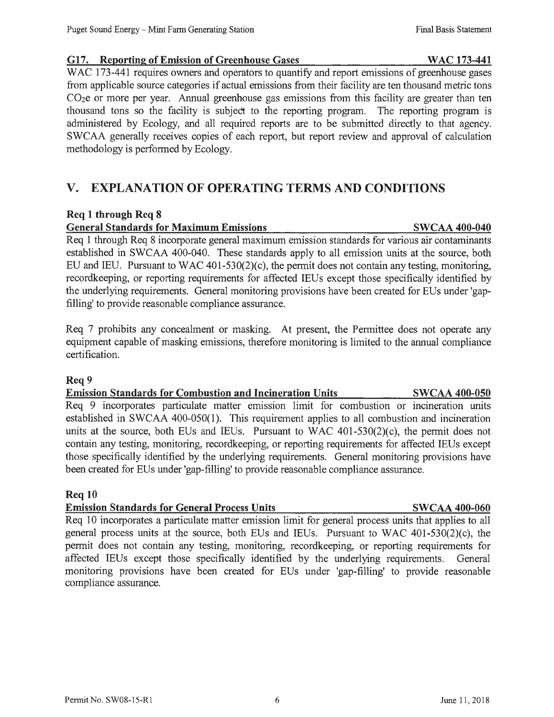#### **G17. Reporting of Emission of Greenhouse Gases WAC 173-441**

WAC 173-441 requires owners and operators to quantify and report emissions of greenhouse gases from applicable source categories if actual emissions from their facility are ten thousand metric tons  $CO<sub>2</sub>e$  or more per year. Annual greenhouse gas emissions from this facility are greater than ten thousand tons so the facility is subject to the reporting program. The reporting program is administered by Ecology, and all required reports are to be submitted directly to that agency. SWCAA generally receives copies of each report, but report review and approval of calculation methodology is performed by Ecology.

### **V. EXPLANATION OF OPERATING TERMS AND CONDITIONS**

#### **Req 1 through Req 8**

#### **General Standards for Maximum Emissions SWCAA 400-040**

Req **1** through Req 8 incorporate general maximum emission standards for various air contaminants established in SWCAA 400-040. These standards apply to all emission units at the source, both EU and IEU. Pursuant to WAC 401-530(2)(c), the permit does not contain any testing, monitoring, recordkeeping, or reporting requirements for affected IEUs except those specifically identified by the underlying requirements. General monitoring provisions have been created for EUs under 'gapfilling' to provide reasonable compliance assurance.

Req 7 prohibits any concealment or masking. At present, the Permittee does not operate any equipment capable of masking emissions, therefore monitoring is limited to the annual compliance certification.

#### **Req9**

#### **Emission Standards for Combustion and Incineration Units SWCAA 400-050**  Req 9 incorporates particulate matter emission limit for combustion or incineration units established in SWCAA 400-050(1). This requirement applies to all combustion and incineration units at the source, both EUs and IEUs. Pursuant to WAC 401-530(2)(c), the permit does not contain any testing, monitoring, recordkeeping, or reporting requirements for affected IEUs except those specifically identified by the underlying requirements. General monitoring provisions have been created for EUs under 'gap-filling' to provide reasonable compliance assurance.

### **Req 10**

# **Emission Standards for General Process Units SWCAA 400-060**

Req 10 incorporates a particulate matter emission limit for general process units that applies to all general process units at the source, both EUs and IEUs. Pursuant to WAC 401-530(2)(c), the pennit does not contain any testing, monitoring, recordkeeping, or reporting requirements for affected IEUs except those specifically identified by the underlying requirements. General monitoring provisions have been created for EUs under 'gap-filling' to provide reasonable compliance assurance.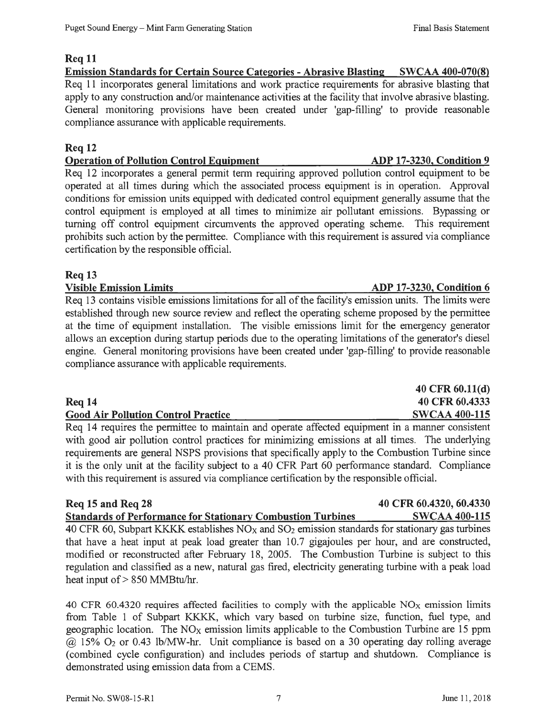### Req 11

Emission Standards for Certain Source Categories - Abrasive Blasting SWCAA 400-070(8) Req 11 incorporates general limitations and work practice requirements for abrasive blasting that apply to any construction and/or maintenance activities at the facility that involve abrasive blasting. General monitoring provisions have been created under 'gap-filling' to provide reasonable compliance assurance with applicable requirements.

# Req 12

#### Operation of Pollution Control Equipment ADP 17-3230, Condition 9

Req 12 incorporates a general permit tenn requiring approved pollution control equipment to be operated at all times during which the associated process equipment is in operation. Approval conditions for emission units equipped with dedicated control equipment generally assume that the control equipment is employed at all times to minimize air pollutant emissions. Bypassing or turning off control equipment circumvents the approved operating scheme. This requirement prohibits such action by the permittee. Compliance with this requirement is assured via compliance certification by the responsible official.

### Req13

### Visible Emission Limits ADP 17-3230, Condition 6

Req 13 contains visible emissions limitations for all of the facility's emission units. The limits were established through new source review and reflect the operating scheme proposed by the permittee at the time of equipment installation. The visible emissions limit for the emergency generator allows an exception during startup periods due to the operating limitations of the generator's diesel engine. General monitoring provisions have been created under 'gap-filling' to provide reasonable compliance assurance with applicable requirements.

#### Req 14

#### Good Air Pollution Control Practice

Req 14 requires the pennittee to maintain and operate affected equipment in a manner consistent with good air pollution control practices for minimizing emissions at all times. The underlying requirements are general NSPS provisions that specifically apply to the Combustion Turbine since it is the only unit at the facility subject to a 40 CFR Part 60 performance standard. Compliance with this requirement is assured via compliance certification by the responsible official.

# Req 15 and Req 28 40 CFR 60.4320, 60.4330

40 CFR 60.ll(d) 40 CFR 60.4333 SWCAA 400-115

Standards of Performance for Stationary Combustion Turbines SWCAA 400-115 40 CFR 60, Subpart KKKK establishes  $NO<sub>X</sub>$  and  $SO<sub>2</sub>$  emission standards for stationary gas turbines that have a heat input at peak load greater than 10.7 gigajoules per hour, and are constructed, modified or reconstructed after February 18, 2005. The Combustion Turbine is subject to this regulation and classified as a new, natural gas fired, electricity generating turbine with a peak load heat input of> 850 MMBtu/hr.

40 CFR 60.4320 requires affected facilities to comply with the applicable  $NO<sub>x</sub>$  emission limits from Table 1 of Subpart KKKK, which vary based on turbine size, function, fuel type, and geographic location. The  $NO<sub>X</sub>$  emission limits applicable to the Combustion Turbine are 15 ppm  $\omega$  15% O<sub>2</sub> or 0.43 lb/MW-hr. Unit compliance is based on a 30 operating day rolling average (combined cycle configuration) and includes periods of startup and shutdown. Compliance is demonstrated using emission data from a CEMS.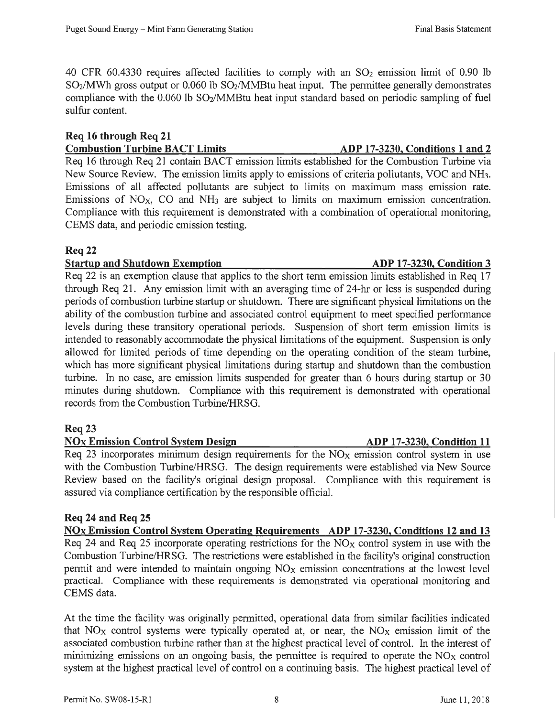40 CFR 60.4330 requires affected facilities to comply with an S02 emission limit of 0.90 lb SO<sub>2</sub>/MWh gross output or 0.060 lb SO<sub>2</sub>/MMBtu heat input. The permittee generally demonstrates compliance with the 0.060 lb SO<sub>2</sub>/MMBtu heat input standard based on periodic sampling of fuel sulfur content.

### Req 16 through Req 21

Combustion Turbine BACT Limits ADP 17-3230, Conditions 1 and 2 Req 16 through Req 21 contain BACT emission limits established for the Combustion Turbine via New Source Review. The emission limits apply to emissions of criteria pollutants, VOC and NH3. Emissions of all affected pollutants are subject to limits on maximum mass emission rate. Emissions of  $NO<sub>X</sub>$ , CO and  $NH<sub>3</sub>$  are subject to limits on maximum emission concentration. Compliance with this requirement is demonstrated with a combination of operational monitoring, CEMS data, and periodic emission testing.

### Req22

### Startup and Shutdown Exemption ADP 17-3230, Condition 3

Req 22 is an exemption clause that applies to the short term emission limits established in Req 17 through Req 21. Any emission limit with an averaging time of 24-hr or less is suspended during periods of combustion turbine startup or shutdown. There are significant physical limitations on the ability of the combustion turbine and associated control equipment to meet specified performance levels during these transitory operational periods. Suspension of short tenn emission limits is intended to reasonably accommodate the physical limitations of the equipment. Suspension is only allowed for limited periods of time depending on the operating condition of the steam turbine, which has more significant physical limitations during startup and shutdown than the combustion turbine. In no case, are emission limits suspended for greater than 6 hours during startup or 30 minutes during shutdown. Compliance with this requirement is demonstrated with operational records from the Combustion Turbine/HRSG.

# Req23

### NO<sub>X</sub> Emission Control System Design ADP 17-3230, Condition 11

Req 23 incorporates minimum design requirements for the  $NO<sub>x</sub>$  emission control system in use with the Combustion Turbine/HRSG. The design requirements were established via New Source Review based on the facility's original design proposal. Compliance with this requirement is assured via compliance certification by the responsible official.

### Req 24 and Req 25

NOx Emission Control System Operating Requirements ADP 17-3230, Conditions 12 and 13 Req 24 and Req 25 incorporate operating restrictions for the  $NO<sub>X</sub>$  control system in use with the Combustion Turbine/HRSG. The restrictions were established in the facility's original construction permit and were intended to maintain ongoing  $NO<sub>X</sub>$  emission concentrations at the lowest level practical. Compliance with these requirements is demonstrated via operational monitoring and CEMS data.

At the time the facility was originally pennitted, operational data from similar facilities indicated that  $NO<sub>x</sub>$  control systems were typically operated at, or near, the  $NO<sub>x</sub>$  emission limit of the associated combustion turbine rather than at the highest practical level of control. In the interest of minimizing emissions on an ongoing basis, the pennittee is required to operate the NOx control system at the highest practical level of control on a continuing basis. The highest practical level of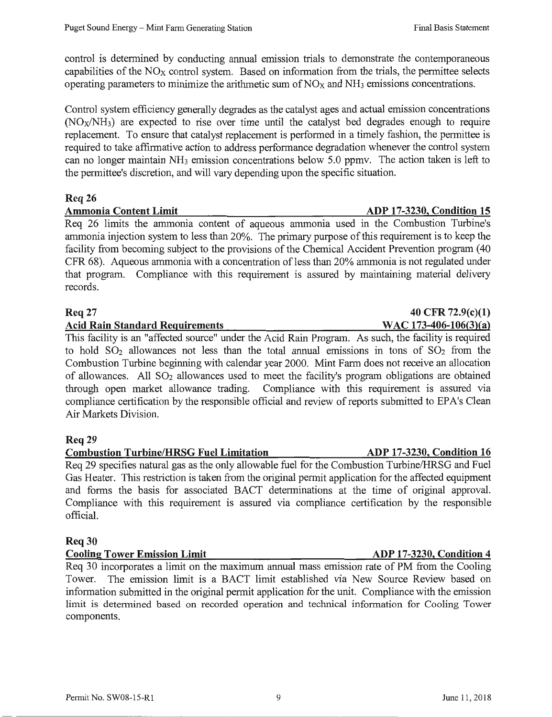operating parameters to minimize the arithmetic sum of  $NO<sub>X</sub>$  and  $NH<sub>3</sub>$  emissions concentrations. Control system efficiency generally degrades as the catalyst ages and actual emission concentrations (NOx/NH3) are expected to rise over time until the catalyst bed degrades enough to require replacement. To ensure that catalyst replacement is performed in a timely fashion, the permittee is required to take affirmative action to address performance degradation whenever the control system

can no longer maintain  $NH_3$  emission concentrations below 5.0 ppmv. The action taken is left to

the permittee's discretion, and will vary depending upon the specific situation.

### **Req26**

#### Ammonia Content Limit **ADP 17-3230, Condition 15**

Req 26 limits the ammonia content of aqueous ammonia used in the Combustion Turbine's ammonia injection system to less than 20%. The primary purpose of this requirement is to keep the facility from becoming subject to the provisions of the Chemical Accident Prevention program (40 CFR 68). Aqueous ammonia with a concentration of less than 20% ammonia is not regulated under that program. Compliance with this requirement is assured by maintaining material delivery records.

### **Req27**

#### **Acid Rain Standard Requirements**

This facility is an "affected source" under the Acid Rain Program. As such, the facility is required to hold S02 allowances not less than the total annual emissions in tons of S02 from the Combustion Turbine beginning with calendar year 2000. Mint Farm does not receive an allocation of allowances. All S02 allowances used to meet the facility's program obligations are obtained through open market allowance trading. Compliance with this requirement is assured via compliance certification by the responsible official and review of reports submitted to EP A's Clean Air Markets Division.

#### **Req29**

#### **Combustion Turbine/HRSG Fuel Limitation ADP 17-3230, Condition 16**

Req 29 specifies natural gas as the only allowable fuel for the Combustion Turbine/HRSG and Fuel Gas Heater. This restriction is taken from the original permit application for the affected equipment and forms the basis for associated BACT determinations at the time of original approval. Compliance with this requirement is assured via compliance certification by the responsible official.

#### **Req30**

### **Cooling Tower Emission Limit** ADP 17-3230, Condition 4

Req 30 incorporates a limit on the maximum annual mass emission rate of PM from the Cooling Tower. The emission limit is a BACT limit established via New Source Review based on infonnation submitted in the original permit application for the unit. Compliance with the emission limit is determined based on recorded operation and teclmical infonnation for Cooling Tower components.

# **40 CFR 72.9(c)(l) WAC 173-406-106(3)(a)**

#### Permit No. SW08-15-R1 9 June 11, 2018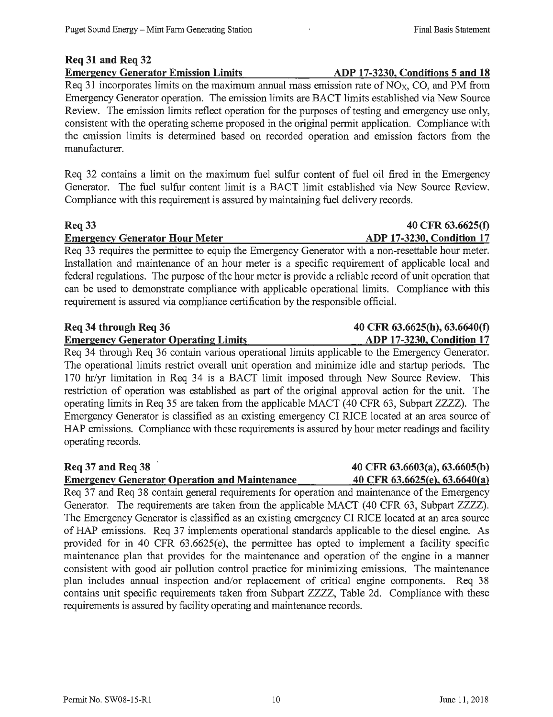#### **Emergency Generator Emission Limits ADP 17-3230, Conditions 5 and 18**

Req 31 incorporates limits on the maximum annual mass emission rate of NOx, CO, and PM from Emergency Generator operation. The emission limits are BACT limits established via New Source Review. The emission limits reflect operation for the purposes of testing and emergency use only, consistent with the operating scheme proposed in the original permit application. Compliance with the emission limits is detennined based on recorded operation and emission factors from the manufacturer.

Req 32 contains a limit on the maximum fuel sulfur content of fuel oil fired in the Emergency Generator. The fuel sulfur content limit is a BACT limit established via New Source Review. Compliance with this requirement is assured by maintaining fuel delivery records.

#### **Emergency Generator Hour Meter ADP 17-3230, Condition 17**

Req 33 requires the permittee to equip the Emergency Generator with a non-resettable hour meter. Installation and maintenance of an hour meter is a specific requirement of applicable local and federal regulations. The purpose of the hour meter is provide a reliable record of unit operation that can be used to demonstrate compliance with applicable operational limits. Compliance with this requirement is assured via compliance certification by the responsible official.

# **Req 34 through Req 36 40 CFR 63.6625(h), 63.6640(f)**

#### **Emergency Generator Operating Limits ADP 17-3230, Condition 17**

Req 34 through Req 36 contain various operational limits applicable to the Emergency Generator. The operational limits restrict overall unit operation and minimize idle and startup periods. The 170 hr/yr limitation in Req 34 is a BACT limit imposed through New Source Review. This restriction of operation was established as part of the original approval action for the unit. The operating limits in Req 35 are taken from the applicable MACT (40 CFR 63, Subpart ZZZZ). The Emergency Generator is classified as an existing emergency CI RICE located at an area source of HAP emissions. Compliance with these requirements is assured by hour meter readings and facility operating records.

**Emergency Generator Operation and Maintenance 40 CFR 63.6625(e), 63.6640(a)** 

Req 37 and Req 38 contain general requirements for operation and maintenance of the Emergency Generator. The requirements are taken from the applicable MACT (40 CFR 63, Subpart ZZZZ). The Emergency Generator is classified as an existing emergency CI RICE located at an area source of HAP emissions. Req 37 implements operational standards applicable to the diesel engine. As provided for in 40 CFR 63.6625(e), the permittee has opted to implement a facility specific maintenance plan that provides for the maintenance and operation of the engine in a manner consistent with good air pollution control practice for minimizing emissions. The maintenance plan includes annual inspection and/or replacement of critical engine components. Req 38 contains unit specific requirements taken from Subpart ZZZZ, Table 2d. Compliance with these requirements is assured by facility operating and maintenance records.

**Req 37 and Req 38 40 CFR 63.6603(a), 63.6605(b)** 

# **Req 33 40 CFR 63.6625(f)**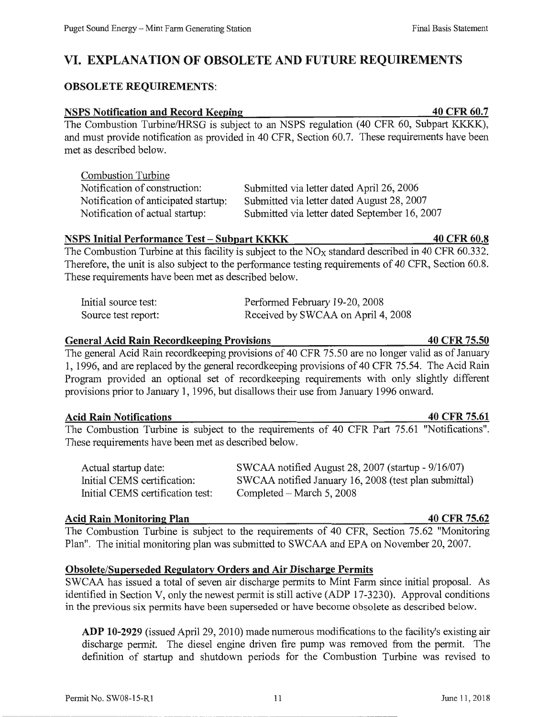# **VI. EXPLANATION OF OBSOLETE AND FUTURE REQUIREMENTS**

### **OBSOLETE REQUIREMENTS:**

#### **NSPS Notification and Record Keeping 1900 CFR 60.7 40 CFR 60.7**

The Combustion Turbine/HRSG is subject to an NSPS regulation (40 CFR 60, Subpart KKKK), and must provide notification as provided in 40 CFR, Section 60.7. These requirements have been met as described below.

| <b>Combustion Turbine</b>            |                                               |
|--------------------------------------|-----------------------------------------------|
| Notification of construction:        | Submitted via letter dated April 26, 2006     |
| Notification of anticipated startup: | Submitted via letter dated August 28, 2007    |
| Notification of actual startup:      | Submitted via letter dated September 16, 2007 |

#### **NSPS Initial Performance Test - Subpart KKKK 40 CFR 60.8** 40 CFR 60.8

The Combustion Turbine at this facility is subject to the NO<sub>x</sub> standard described in 40 CFR 60.332. Therefore, the unit is also subject to the performance testing requirements of 40 CFR, Section 60.8. These requirements have been met as described below.

| Initial source test: | Performed February 19-20, 2008     |
|----------------------|------------------------------------|
| Source test report:  | Received by SWCAA on April 4, 2008 |

#### General Acid Rain Recordkeeping Provisions **40 CFR 75.50**

The general Acid Rain recordkeeping provisions of 40 CFR 75.50 are no longer valid as of January 1, 1996, and are replaced by the general recordkeeping provisions of 40 CFR 75.54. The Acid Rain Program provided an optional set of recordkeeping requirements with only slightly different provisions prior to January 1, 1996, but disallows their use from January 1996 onward.

### **Acid Rain Notifications 40 CFR 75.61**

The Combustion Turbine is subject to the requirements of 40 CFR Part 75.61 "Notifications". These requirements have been met as described below.

| Actual startup date:             | SWCAA notified August 28, 2007 (startup $-9/16/07$ )  |
|----------------------------------|-------------------------------------------------------|
| Initial CEMS certification:      | SWCAA notified January 16, 2008 (test plan submittal) |
| Initial CEMS certification test: | Completed – March 5, 2008                             |

### **Acid Rain Monitoring Plan 40 CFR 75.62**

The Combustion Turbine is subject to the requirements of 40 CFR, Section 75.62 "Monitoring Plan". The initial monitoring plan was submitted to SW CAA and EPA on November 20, 2007.

### **Obsolete/Superseded Regulatory Orders and Air Discharge Permits**

SWCAA has issued a total of seven air discharge permits to Mint Farm since initial proposal. As identified in Section V, only the newest permit is still active (ADP 17-3230). Approval conditions in the previous six pennits have been superseded or have become obsolete as described below.

**ADP 10-2929** (issued April 29, 2010) made numerous modifications to the facility's existing air discharge pennit. The diesel engine driven fire pump was removed from the permit. The definition of startup and shutdown periods for the Combustion Turbine was revised to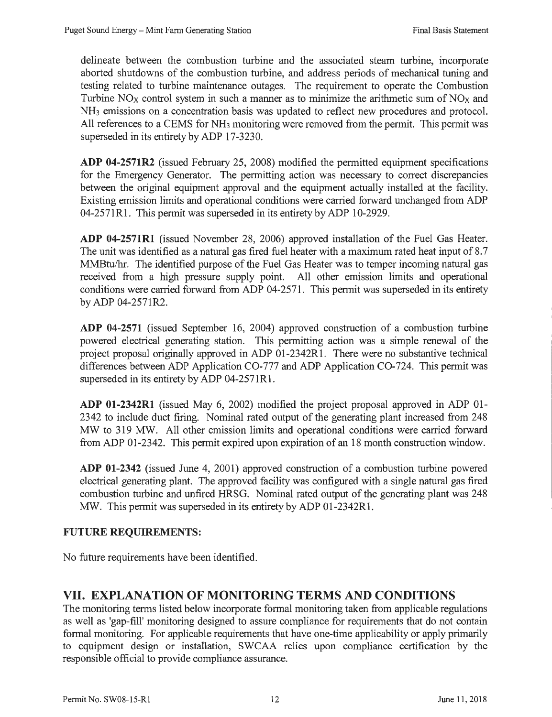delineate between the combustion turbine and the associated steam turbine, incorporate aborted shutdowns of the combustion turbine, and address periods of mechanical tuning and testing related to turbine maintenance outages. The requirement to operate the Combustion Turbine  $NO<sub>X</sub>$  control system in such a manner as to minimize the arithmetic sum of  $NO<sub>X</sub>$  and NH3 emissions on a concentration basis was updated to reflect new procedures and protocol. All references to a CEMS for NH<sub>3</sub> monitoring were removed from the permit. This permit was superseded in its entirety by ADP 17-3230.

**ADP 04-2571R2** (issued February 25, 2008) modified the permitted equipment specifications for the Emergency Generator. The pennitting action was necessary to correct discrepancies between the original equipment approval and the equipment actually installed at the facility. Existing emission limits and operational conditions were carried forward unchanged from ADP 04-2571Rl. This permit was superseded in its entirety by ADP 10-2929.

**ADP 04-2571Rl** (issued November 28, 2006) approved installation of the Fuel Gas Heater. The unit was identified as a natural gas fired fuel heater with a maximum rated heat input of 8. 7 MMBtu/hr. The identified purpose of the Fuel Gas Heater was to temper incoming natural gas received from a high pressure supply point. All other emission limits and operational conditions were carried forward from ADP 04-2571. This permit was superseded in its entirety by ADP 04-2571R2.

**ADP 04-2571** (issued September 16, 2004) approved construction of a combustion turbine powered electrical generating station. This pennitting action was a simple renewal of the project proposal originally approved in ADP 01-2342Rl. There were no substantive technical differences between ADP Application CO-777 and ADP Application CO-724. This pennit was superseded in its entirety by ADP 04-2571Rl.

**ADP 01-2342Rl** (issued May 6, 2002) modified the project proposal approved in ADP 01- 2342 to include duct firing. Nominal rated output of the generating plant increased from 248 MW to 319 MW. All other emission limits and operational conditions were carried forward from ADP 01-2342. This permit expired upon expiration of an 18 month construction window.

**ADP 01-2342** (issued June 4, 2001) approved construction of a combustion turbine powered electrical generating plant. The approved facility was configured with a single natural gas fired combustion turbine and unfired HRSG. Nominal rated output of the generating plant was 248 MW. This permit was superseded in its entirety by ADP 01-2342R1.

### **FUTURE REQUIREMENTS:**

No future requirements have been identified.

# **VII. EXPLANATION OF MONITORING TERMS AND CONDITIONS**

The monitoring terms listed below incorporate formal monitoring taken from applicable regulations as well as 'gap-fill' monitoring designed to assure compliance for requirements that do not contain formal monitoring. For applicable requirements that have one-time applicability or apply primarily to equipment design or installation, SWCAA relies upon compliance certification by the responsible official to provide compliance assurance.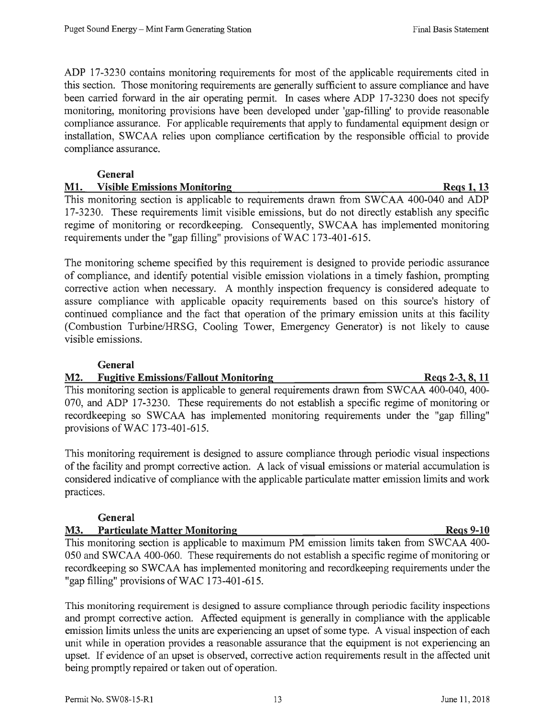ADP 17-3230 contains monitoring requirements for most of the applicable requirements cited in this section. Those monitoring requirements are generally sufficient to assure compliance and have been carried forward in the air operating permit. In cases where ADP 17-3230 does not specify monitoring, monitoring provisions have been developed under 'gap-filling' to provide reasonable compliance assurance. For applicable requirements that apply to fundamental equipment design or installation, SWCAA relies upon compliance certification by the responsible official to provide compliance assurance.

### **General**

### **M1.** Visible Emissions Monitoring Regs 1, 13

This monitoring section is applicable to requirements drawn from SWCAA 400-040 and ADP 17-3230. These requirements limit visible emissions, but do not directly establish any specific regime of monitoring or recordkeeping. Consequently, SWCAA has implemented monitoring requirements under the "gap filling" provisions of WAC 173-401-615.

The monitoring scheme specified by this requirement is designed to provide periodic assurance of compliance, and identify potential visible emission violations in a timely fashion, prompting corrective action when necessary. A monthly inspection frequency is considered adequate to assure compliance with applicable opacity requirements based on this source's history of continued compliance and the fact that operation of the primary emission units at this facility (Combustion Turbine/HRSG, Cooling Tower, Emergency Generator) is not likely to cause visible emissions.

### **General**

# M2. Fugitive Emissions/Fallout Monitoring Regs 2-3, 8, 11

This monitoring section is applicable to general requirements drawn from SWCAA 400-040, 400- 070, and ADP 17-3230. These requirements do not establish a specific regime of monitoring or recordkeeping so SWCAA has implemented monitoring requirements under the "gap filling" provisions ofWAC 173-401-615.

This monitoring requirement is designed to assure compliance through periodic visual inspections of the facility and prompt corrective action. A lack of visual emissions or material accumulation is considered indicative of compliance with the applicable particulate matter emission limits and work practices.

### **General**

# **M3.** Particulate Matter Monitoring **Register Strategies Access** 2008 **Regs 9-10**

This monitoring section is applicable to maximum PM emission limits taken from SWCAA 400- 050 and SWCAA 400-060. These requirements do not establish a specific regime of monitoring or recordkeeping so SWCAA has implemented monitoring and recordkeeping requirements under the "gap filling" provisions of WAC 173-401-615.

This monitoring requirement is designed to assure compliance through periodic facility inspections and prompt corrective action. Affected equipment is generally in compliance with the applicable emission limits unless the units are experiencing an upset of some type. A visual inspection of each unit while in operation provides a reasonable assurance that the equipment is not experiencing an upset. If evidence of an upset is observed, corrective action requirements result in the affected unit being promptly repaired or taken out of operation.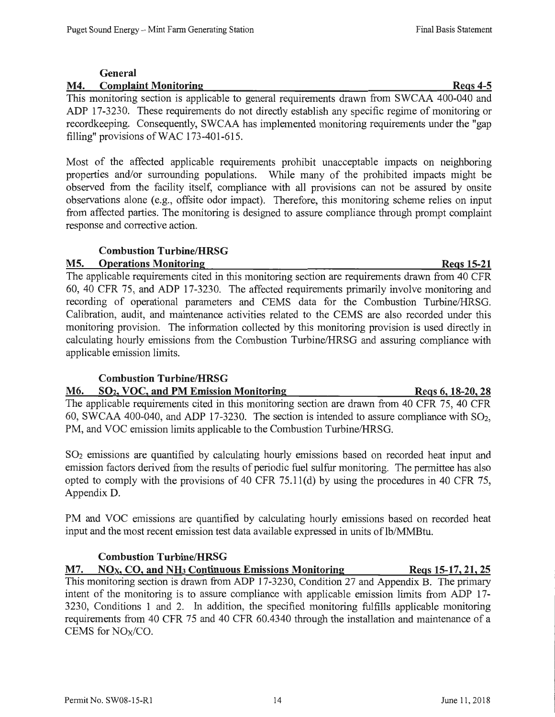# General

# M4. Complaint Monitoring **Register** Regs 4-5

This monitoring section is applicable to general requirements drawn from SWCAA 400-040 and ADP 17-3230. These requirements do not directly establish any specific regime of monitoring or recordkeeping. Consequently, SWCAA has implemented monitoring requirements under the "gap filling" provisions of WAC 173-401-615.

Most of the affected applicable requirements prohibit unacceptable impacts on neighboring properties and/or surrounding populations. While many of the prohibited impacts might be observed from the facility itself, compliance with all provisions can not be assured by onsite observations alone (e.g., offsite odor impact). Therefore, this monitoring scheme relies on input from affected parties. The monitoring is designed to assure compliance through prompt complaint response and corrective action.

# Combustion Turbine/HRSG

# M5. Operations Monitoring **Register** Regs 15-21

The applicable requirements cited in this monitoring section are requirements drawn from 40 CFR 60, 40 CFR 75, and ADP 17-3230. The affected requirements primarily involve monitoring and recording of operational parameters and CEMS data for the Combustion Turbine/HRSG. Calibration, audit, and maintenance activities related to the CEMS are also recorded under this monitoring provision. The information collected by this monitoring provision is used directly in calculating hourly emissions from the Combustion Turbine/HRSG and assuring compliance with applicable emission limits.

# Combustion Turbine/HRSG

# M6. SO<sub>2</sub>, VOC, and PM Emission Monitoring Regs 6, 18-20, 28

The applicable requirements cited in this monitoring section are drawn from 40 CFR 75, 40 CFR 60, SWCAA 400-040, and ADP 17-3230. The section is intended to assure compliance with S02, PM, and VOC emission limits applicable to the Combustion Turbine/HRSG.

S02 emissions are quantified by calculating hourly emissions based on recorded heat input and emission factors derived from the results of periodic fuel sulfur monitoring. The permittee has also opted to comply with the provisions of 40 CFR 75.1 l(d) by using the procedures in 40 CFR 75, Appendix D.

PM and VOC emissions are quantified by calculating hourly emissions based on recorded heat input and the most recent emission test data available expressed in units of lb/MMBtu.

### Combustion Turbine/HRSG

M7. NO<sub>X</sub>, CO, and NH<sub>3</sub> Continuous Emissions Monitoring Reqs 15-17, 21, 25 This monitoring section is drawn from ADP 17-3230, Condition 27 and Appendix B. The primary intent of the monitoring is to assure compliance with applicable emission limits from ADP 17- 3230, Conditions 1 and 2. In addition, the specified monitoring fulfills applicable monitoring requirements from 40 CFR 75 and 40 CFR 60.4340 through the installation and maintenance of a CEMS for NOx/CO.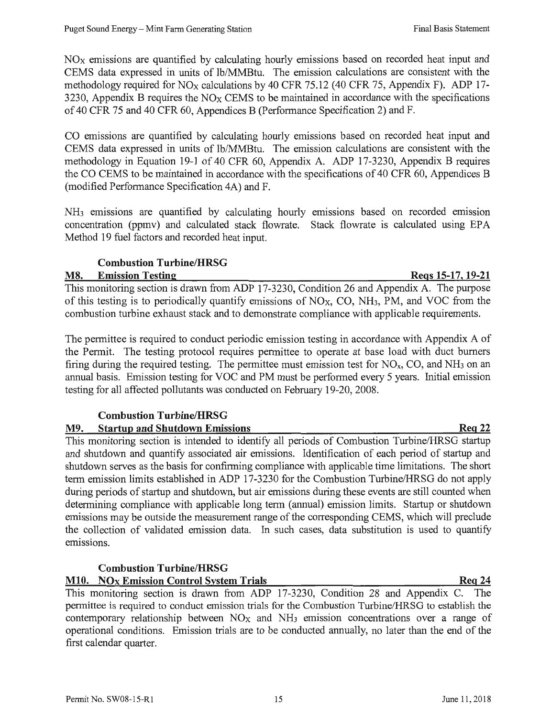NOx emissions are quantified by calculating hourly emissions based on recorded heat input and CEMS data expressed in units of lb/MMBtu. The emission calculations are consistent with the methodology required for NOx calculations by 40 CFR 75.12 (40 CFR 75, Appendix F). ADP 17- 3230, Appendix B requires the  $NO<sub>X</sub>$  CEMS to be maintained in accordance with the specifications of 40 CFR 75 and 40 CFR 60, Appendices B (Performance Specification 2) and F.

CO emissions are quantified by calculating hourly emissions based on recorded heat input and CEMS data expressed in units of lb/MMBtu. The emission calculations are consistent with the methodology in Equation 19-1 of 40 CFR 60, Appendix A. ADP 17-3230, Appendix B requires the CO CEMS to be maintained in accordance with the specifications of 40 CFR 60, Appendices B (modified Perfonnance Specification 4A) and F.

NH<sub>3</sub> emissions are quantified by calculating hourly emissions based on recorded emission concentration (ppmv) and calculated stack flowrate. Stack flowrate is calculated using EPA Method 19 fuel factors and recorded heat input.

### **Combustion Turbine/HRSG**

### **MS. Emission Testing Regs 15-17, 19-21**

This monitoring section is drawn from ADP 17-3230, Condition 26 and Appendix A. The purpose of this testing is to periodically quantify emissions of NOx, CO, NH3, PM, and VOC from the combustion turbine exhaust stack and to demonstrate compliance with applicable requirements.

The permittee is required to conduct periodic emission testing in accordance with Appendix A of the Permit. The testing protocol requires pennittee to operate at base load with duct burners firing during the required testing. The permittee must emission test for  $NO<sub>x</sub>$ , CO, and  $NH<sub>3</sub>$  on an annual basis. Emission testing for VOC and PM must be performed every 5 years. Initial emission testing for all affected pollutants was conducted on February 19-20, 2008.

# **Combustion Turbine/HRSG**

# **M9. Startup and Shutdown Emissions Reg 22**

This monitoring section is intended to identify all periods of Combustion Turbine/HRSG startup and shutdown and quantify associated air emissions. Identification of each period of startup and shutdown serves as the basis for confinning compliance with applicable time limitations. The short term emission limits established in ADP 17-3230 for the Combustion Turbine/HRSG do not apply during periods of startup and shutdown, but air emissions during these events are still counted when determining compliance with applicable long term (annual) emission limits. Startup or shutdown emissions may be outside the measurement range of the corresponding CEMS, which will preclude the collection of validated emission data. In such cases, data substitution is used to quantify emissions.

# **Combustion Turbine/HRSG**

**M10. NO<sub>x</sub> Emission Control System Trials Reg 24 Reg 24** This monitoring section is drawn from ADP 17-3230, Condition 28 and Appendix C. The pennittee is required to conduct emission trials for the Combustion Turbine/HRSG to establish the contemporary relationship between NOx and NH3 emission concentrations over a range of operational conditions. Emission trials are to be conducted annually, no later than the end of the first calendar quarter.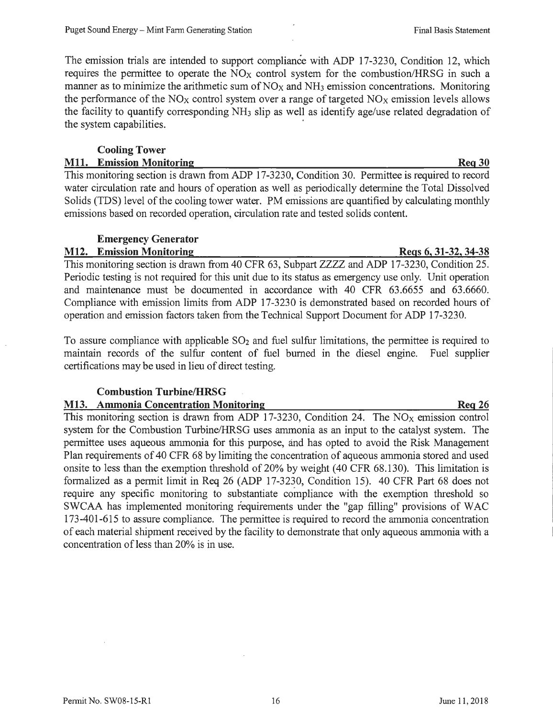The emission trials are intended to support compliance with ADP 17-3230, Condition 12, which requires the permittee to operate the  $NO<sub>X</sub>$  control system for the combustion/HRSG in such a manner as to minimize the arithmetic sum of  $NO<sub>X</sub>$  and  $NH<sub>3</sub>$  emission concentrations. Monitoring the performance of the  $NO<sub>X</sub>$  control system over a range of targeted  $NO<sub>X</sub>$  emission levels allows the facility to quantify corresponding NH3 slip as well as identify age/use related degradation of the system capabilities.

### **Cooling Tower**

# **M11. Emission Monitoring Reg 30 Reg 30**

This monitoring section is drawn from ADP 17-3230, Condition 30. Permittee is required to record water circulation rate and hours of operation as well as periodically determine the Total Dissolved Solids (TDS) level of the cooling tower water. PM emissions are quantified by calculating monthly emissions based on recorded operation, circulation rate and tested solids content.

# **Emergency Generator**

#### **M12. Emission Monitoring Regs 6, 31-32, 34-38** This monitoring section is drawn from 40 CFR 63, Subpart ZZZZ and ADP 17-3230, Condition 25. Periodic testing is not required for this unit due to its status as emergency use only. Unit operation and maintenance must be documented in accordance with 40 CFR 63.6655 and 63.6660. Compliance with emission limits from ADP 17-3230 is demonstrated based on recorded hours of operation and emission factors taken from the Technical Support Document for ADP 17-3230.

To assure compliance with applicable  $SO<sub>2</sub>$  and fuel sulfur limitations, the permittee is required to maintain records of the sulfur content of fuel burned in the diesel engine. Fuel supplier certifications may be used in lieu of direct testing.

# **Combustion Turbine/HRSG**

### **M13. Ammonia Concentration Monitoring Reg 26 Reg 26 Reg 26**

This monitoring section is drawn from ADP 17-3230, Condition 24. The  $NO<sub>X</sub>$  emission control system for the Combustion Turbine/HRSG uses anunonia as an input to the catalyst system. The permittee uses aqueous anunonia for this purpose, and has opted to avoid the Risk Management Plan requirements of 40 CFR 68 by limiting the concentration of aqueous ammonia stored and used onsite to less than the exemption threshold of 20% by weight (40 CFR 68.130). This limitation is fonnalized as a permit limit in Req 26 (ADP 17-3230, Condition 15). 40 CFR Part 68 does not require any specific monitoring to substantiate compliance with the exemption threshold so SW CAA has implemented monitoring requirements under the "gap filling" provisions of WAC 173-401-615 to assure compliance. The pennittee is required to record the anunonia concentration of each material shipment received by the facility to demonstrate that only aqueous ammonia with a concentration of less than 20% is in use.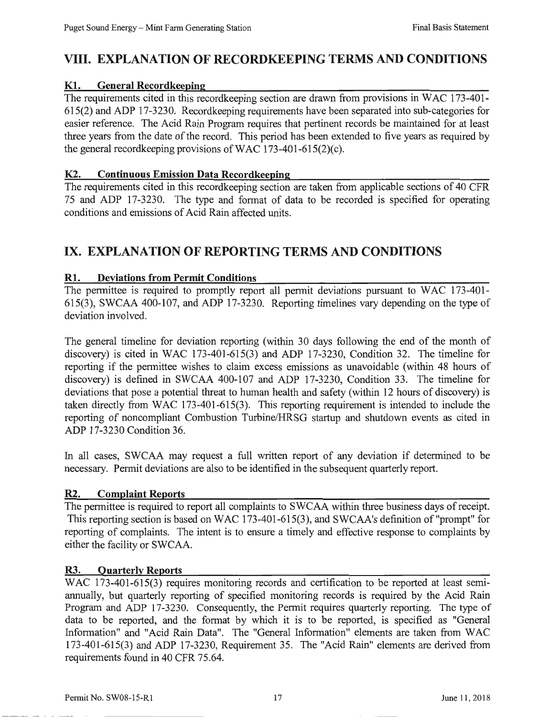# **VIII. EXPLANATION OF RECORDKEEPING TERMS AND CONDITIONS**

### **Kl. General Recordkeeping**

The requirements cited in this recordkeeping section are drawn from provisions in WAC 173-401- 615(2) and ADP 17-3230. Recordkeeping requirements have been separated into sub-categories for easier reference. The Acid Rain Program requires that pertinent records be maintained for at least three years from the date of the record. This period has been extended to five years as required by the general recordkeeping provisions of WAC 173-401-615(2)(c).

#### **K2. Continuous Emission Data Recordkeeping**

The requirements cited in this recordkeeping section are taken from applicable sections of 40 CFR 75 and ADP 17-3230. The type and fonnat of data to be recorded is specified for operating conditions and emissions of Acid Rain affected units.

# IX. **EXPLANATION OF REPORTING TERMS AND CONDITIONS**

### **Rl. Deviations from Permit Conditions**

The permittee is required to promptly report all pennit deviations pursuant to WAC 173-401- 615(3), SWCAA 400-107, and ADP 17-3230. Reporting timelines vary depending on the type of deviation involved.

The general timeline for deviation reporting (within 30 days following the end of the month of discovery) is cited in WAC 173-401-615(3) and ADP 17-3230, Condition 32. The timeline for reporting if the permittee wishes to claim excess emissions as unavoidable (within 48 hours of discovery) is defined in SWCAA 400-107 and ADP 17-3230, Condition 33. The timeline for deviations that pose a potential threat to human health and safety (within 12 hours of discovery) is taken directly from WAC 173-401-615(3). This reporting requirement is intended to include the reporting of noncompliant Combustion Turbine/HRSG startup and shutdown events as cited in ADP 17-3230 Condition 36.

In all cases, SWCAA may request a full written report of any deviation if determined to be necessary. Pennit deviations are also to be identified in the subsequent quarterly report.

### **R2. Complaint Reports**

The permittee is required to report all complaints to SWCAA within three business days of receipt. This reporting section is based on WAC 173-401-615(3), and SWCAA's definition of "prompt" for reporting of complaints. The intent is to ensure a timely and effective response to complaints by either the facility or SWCAA.

### **R3. Quarterly Reports**

WAC 173-401-615(3) requires monitoring records and certification to be reported at least semiannually, but quarterly reporting of specified monitoring records is required by the Acid Rain Program and ADP 17-3230. Consequently, the Permit requires quarterly reporting. The type of data to be reported, and the format by which it is to be reported, is specified as "General Information" and "Acid Rain Data". The "General Information" elements are taken from WAC 173-401-615(3) and ADP 17-3230, Requirement 35. The "Acid Rain" elements are derived from requirements found in 40 CFR 75.64.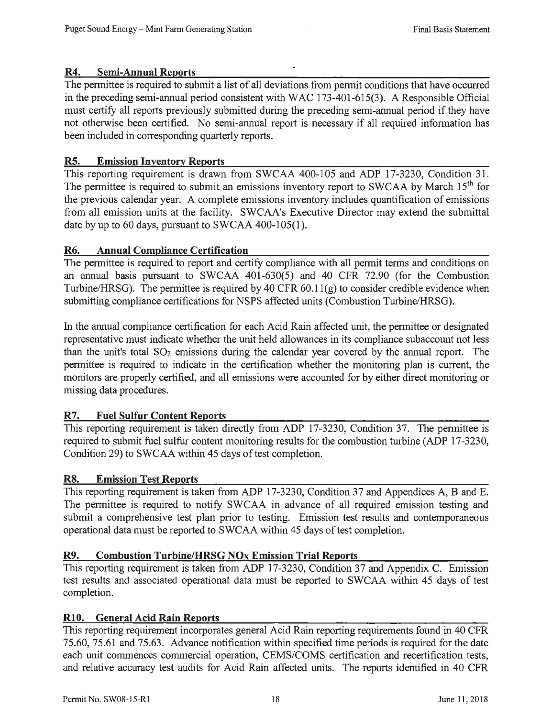### **R4. Semi-Annual Reports**

The permittee is required to submit a list of all deviations from permit conditions that have occurred in the preceding semi-annual period consistent with WAC 173-401-615(3). A Responsible Official must certify all reports previously submitted during the preceding semi-annual period if they have not otherwise been certified. No semi-annual report is necessary if all required information has been included in corresponding quarterly reports.

### **RS. Emission Inventory Reports**

This reporting requirement is drawn from SWCAA 400-105 and ADP 17-3230, Condition 31. The permittee is required to submit an emissions inventory report to SWCAA by March 15<sup>th</sup> for the previous calendar year. A complete emissions inventory includes quantification of emissions from all emission units at the facility. SWCAA's Executive Director may extend the submittal date by up to 60 days, pursuant to SWCAA 400-105(1).

# **R6. Annual Compliance Certification**

The permittee is required to report and certify compliance with all permit terms and conditions on an annual basis pursuant to SWCAA 401-630(5) and 40 CFR 72.90 (for the Combustion Turbine/HRSG). The permittee is required by 40 CFR  $60.11(g)$  to consider credible evidence when submitting compliance certifications for NSPS affected units (Combustion Turbine/HRSG).

In the annual compliance certification for each Acid Rain affected unit, the permittee or designated representative must indicate whether the unit held allowances in its compliance subaccount not less than the unit's total  $SO_2$  emissions during the calendar year covered by the annual report. The permittee is required to indicate in the certification whether the monitoring plan is current, the monitors are properly certified, and all emissions were accounted for by either direct monitoring or missing data procedures.

# **R7. Fuel Sulfur Content Reports**

This reporting requirement is taken directly from ADP 17-3230, Condition 37. The permittee is required to submit fuel sulfur content monitoring results for the combustion turbine (ADP 17-3230, Condition 29) to SWCAA within 45 days of test completion.

### **RS. Emission Test Reports**

This reporting requirement is taken from ADP 17-3230, Condition 37 and Appendices A, Band E. The permittee is required to notify SWCAA in advance of all required emission testing and submit a comprehensive test plan prior to testing. Emission test results and contemporaneous operational data must be reported to SWCAA within 45 days of test completion.

# **R9. Combustion Turbine/HRSG NOx Emission Trial Reports**

This reporting requirement is taken from ADP 17-3230, Condition 37 and Appendix C. Emission test results and associated operational data must be reported to SWCAA within 45 days of test completion.

### **RlO. General Acid Rain Reports**

This reporting requirement incorporates general Acid Rain reporting requirements found in 40 GFR 75.60, 75.61 and 75.63. Advance notification within specified time periods is required for the date each unit commences commercial operation, CEMS/COMS certification and recertification tests, and relative accuracy test audits for Acid Rain affected units. The reports identified in 40 CFR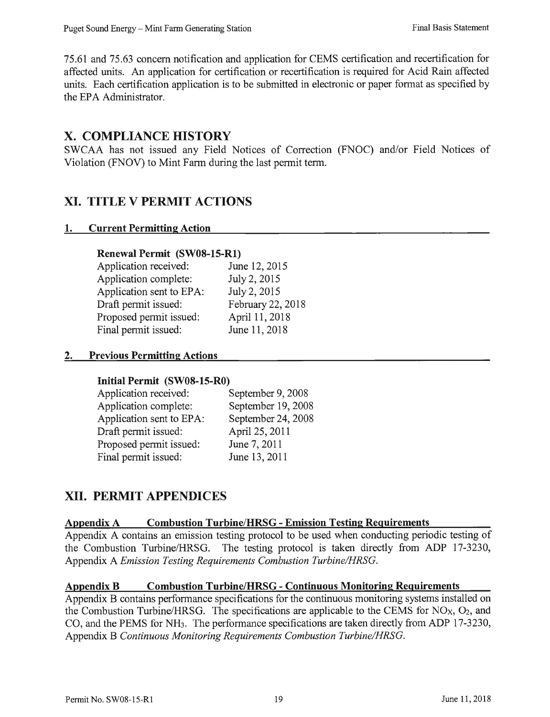75.61 and 75.63 concern notification and application for CEMS certification and recertification for affected units. An application for certification or recertification is required for Acid Rain affected units. Each certification application is to be submitted in electronic or paper format as specified by the EPA Administrator.

# **X. COMPLIANCE HISTORY**

SWCAA has not issued any Field Notices of Correction (FNOC) and/or Field Notices of Violation (FNOV) to Mint Farm during the last permit term.

# **XI. TITLE V PERMIT ACTIONS**

#### **1. Current Permitting Action**

#### **Renewal Permit (SWOS-15-Rl)**

| Application received:    | June 12, 2015     |
|--------------------------|-------------------|
| Application complete:    | July 2, 2015      |
| Application sent to EPA: | July 2, 2015      |
| Draft permit issued:     | February 22, 2018 |
| Proposed permit issued:  | April 11, 2018    |
| Final permit issued:     | June 11, 2018     |
|                          |                   |

#### **2. Previous Permitting Actions**

#### **Initial Permit (SWOS-15-RO)**

| Application received:    | September 9, 2008  |
|--------------------------|--------------------|
| Application complete:    | September 19, 2008 |
| Application sent to EPA: | September 24, 2008 |
| Draft permit issued:     | April 25, 2011     |
| Proposed permit issued:  | June 7, 2011       |
| Final permit issued:     | June 13, 2011      |

# **XII. PERMIT APPENDICES**

### **Appendix A Combustion Turbine/HRSG - Emission Testing Requirements**

Appendix A contains an emission testing protocol to be used when conducting periodic testing of the Combustion Turbine/HRSG. The testing protocol is taken directly from ADP 17-3230, Appendix A *Emission Testing Requirements Combustion Turbine/HRSG.* 

### **Appendix B Combustion Turbine/HRSG - Continuous Monitoring Requirements**

Appendix B contains performance specifications for the continuous monitoring systems installed on the Combustion Turbine/HRSG. The specifications are applicable to the CEMS for  $NO<sub>X</sub>$ ,  $O<sub>2</sub>$ , and CO, and the PEMS for NH3. The performance specifications are taken directly from ADP 17-3230, Appendix B *Continuous Monitoring Requirements Combustion Turbine/HRSG.*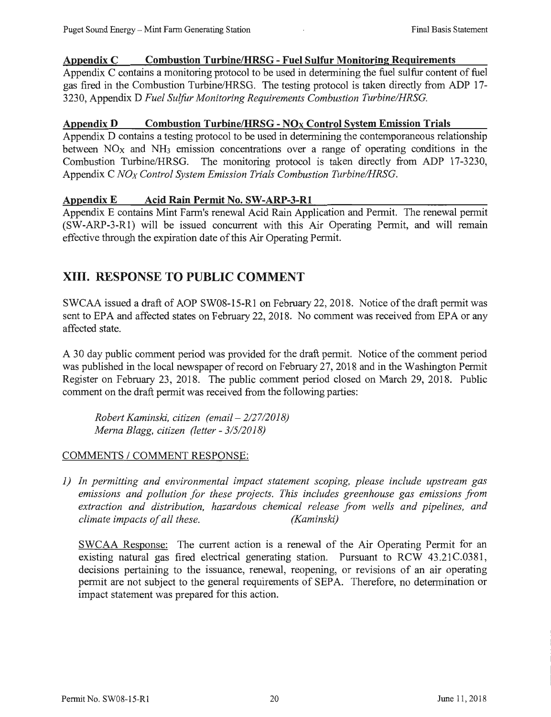#### **Appendix C Combustion Turbine/HRSG - Fuel Sulfur Monitoring Requirements**

Appendix C contains a monitoring protocol to be used in determining the fuel sulfur content of fuel gas fired in the Combustion Turbine/HRSG. The testing protocol is taken directly from ADP 17- 3230, Appendix D *Fuel Sulfur Monitoring Requirements Combustion Turbine!HRSG.* 

#### **Appendix D Combustion Turbine/HRSG - NOx Control System Emission Trials**

Appendix **D** contains a testing protocol to be used in determining the contemporaneous relationship between  $NO<sub>x</sub>$  and  $NH<sub>3</sub>$  emission concentrations over a range of operating conditions in the Combustion Turbine/HRSG. The monitoring protocol is taken directly from ADP 17-3230, Appendix C *NOx Control System Emission Trials Combustion Turbine/HRSG.* 

#### **Appendix E Acid Rain Permit No. SW-ARP-3-Rl**

Appendix E contains Mint Farm's renewal Acid Rain Application and Pennit. The renewal permit (SW-ARP-3-R1) will be issued concurrent with this Air Operating Permit, and will remain effective through the expiration date of this Air Operating Permit.

# **XIII. RESPONSE TO PUBLIC COMMENT**

SWCAA issued a draft of AOP SW08-15-Rl on February 22, 2018. Notice of the draft permit was sent to EPA and affected states on February 22, 2018. No comment was received from EPA or any affected state.

A 30 day public comment period was provided for the draft pennit. Notice of the comment period was published in the local newspaper ofrecord on February 27, 2018 and in the Washington Permit Register on February 23, 2018. The public comment period closed on March 29, 2018. Public comment on the draft permit was received from the following parties:

*Robert Kaminski, citizen (email-212712018) Merna Blagg, citizen (letter* - *31512018)* 

### COMMENTS / COMMENT RESPONSE:

*1) In permitting and environmental impact statement scoping, please include upstream gas emissions and pollution for these projects. This includes greenhouse gas emissions from extraction and distribution, hazardous chemical release from wells and pipelines, and climate impacts of all these. (Kaminski)* 

SWCAA Response: The current action is a renewal of the Air Operating Pennit for an existing natural gas fired electrical generating station. Pursuant to RCW 43.21C.0381, decisions pertaining to the issuance, renewal, reopening, or revisions of an air operating permit are not subject to the general requirements of SEPA. Therefore, no determination or impact statement was prepared for this action.